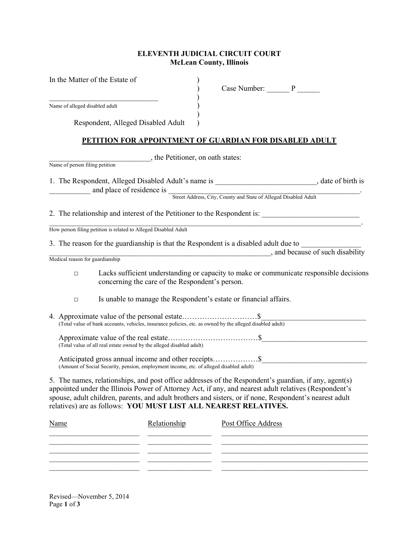## ELEVENTH JUDICIAL CIRCUIT COURT McLean County, Illinois

| In the Matter of the Estate of                                                                                                                                                                                                                                                                                                                                                               | Case Number: P      |                                |
|----------------------------------------------------------------------------------------------------------------------------------------------------------------------------------------------------------------------------------------------------------------------------------------------------------------------------------------------------------------------------------------------|---------------------|--------------------------------|
| Name of alleged disabled adult                                                                                                                                                                                                                                                                                                                                                               |                     |                                |
|                                                                                                                                                                                                                                                                                                                                                                                              |                     |                                |
| Respondent, Alleged Disabled Adult                                                                                                                                                                                                                                                                                                                                                           |                     |                                |
| PETITION FOR APPOINTMENT OF GUARDIAN FOR DISABLED ADULT                                                                                                                                                                                                                                                                                                                                      |                     |                                |
| the Petitioner, on oath states:                                                                                                                                                                                                                                                                                                                                                              |                     |                                |
| Name of person filing petition                                                                                                                                                                                                                                                                                                                                                               |                     |                                |
| 1. The Respondent, Alleged Disabled Adult's name is __________________________, date of birth is                                                                                                                                                                                                                                                                                             |                     |                                |
| and place of residence is Street Address, City, County and State of Alleged Disabled Adult                                                                                                                                                                                                                                                                                                   |                     |                                |
| 2. The relationship and interest of the Petitioner to the Respondent is: ___________________________                                                                                                                                                                                                                                                                                         |                     |                                |
| How person filing petition is related to Alleged Disabled Adult                                                                                                                                                                                                                                                                                                                              |                     |                                |
| 3. The reason for the guardianship is that the Respondent is a disabled adult due to                                                                                                                                                                                                                                                                                                         |                     |                                |
|                                                                                                                                                                                                                                                                                                                                                                                              |                     | and because of such disability |
| Medical reason for guardianship                                                                                                                                                                                                                                                                                                                                                              |                     |                                |
| Lacks sufficient understanding or capacity to make or communicate responsible decisions<br>$\Box$<br>concerning the care of the Respondent's person.                                                                                                                                                                                                                                         |                     |                                |
| Is unable to manage the Respondent's estate or financial affairs.<br>$\Box$                                                                                                                                                                                                                                                                                                                  |                     |                                |
|                                                                                                                                                                                                                                                                                                                                                                                              |                     |                                |
| (Total value of all real estate owned by the alleged disabled adult)                                                                                                                                                                                                                                                                                                                         |                     |                                |
| (Amount of Social Security, pension, employment income, etc. of alleged disabled adult)                                                                                                                                                                                                                                                                                                      |                     |                                |
| 5. The names, relationships, and post office addresses of the Respondent's guardian, if any, agent(s)<br>appointed under the Illinois Power of Attorney Act, if any, and nearest adult relatives (Respondent's<br>spouse, adult children, parents, and adult brothers and sisters, or if none, Respondent's nearest adult<br>relatives) are as follows: YOU MUST LIST ALL NEAREST RELATIVES. |                     |                                |
| Relationship<br><b>Name</b>                                                                                                                                                                                                                                                                                                                                                                  | Post Office Address |                                |
|                                                                                                                                                                                                                                                                                                                                                                                              |                     |                                |

\_\_\_\_\_\_\_\_\_\_\_\_\_\_\_\_\_\_\_\_\_\_\_\_ \_\_\_\_\_\_\_\_\_\_\_\_\_\_\_\_\_ \_\_\_\_\_\_\_\_\_\_\_\_\_\_\_\_\_\_\_\_\_\_\_\_\_\_\_\_\_\_\_\_\_\_\_\_\_\_\_ \_\_\_\_\_\_\_\_\_\_\_\_\_\_\_\_\_\_\_\_\_\_\_\_ \_\_\_\_\_\_\_\_\_\_\_\_\_\_\_\_\_ \_\_\_\_\_\_\_\_\_\_\_\_\_\_\_\_\_\_\_\_\_\_\_\_\_\_\_\_\_\_\_\_\_\_\_\_\_\_\_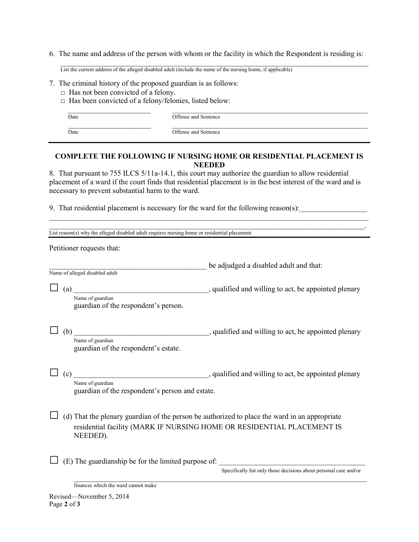6. The name and address of the person with whom or the facility in which the Respondent is residing is:

 $\mathcal{L}_\mathcal{L} = \{ \mathcal{L}_\mathcal{L} = \{ \mathcal{L}_\mathcal{L} = \{ \mathcal{L}_\mathcal{L} = \{ \mathcal{L}_\mathcal{L} = \{ \mathcal{L}_\mathcal{L} = \{ \mathcal{L}_\mathcal{L} = \{ \mathcal{L}_\mathcal{L} = \{ \mathcal{L}_\mathcal{L} = \{ \mathcal{L}_\mathcal{L} = \{ \mathcal{L}_\mathcal{L} = \{ \mathcal{L}_\mathcal{L} = \{ \mathcal{L}_\mathcal{L} = \{ \mathcal{L}_\mathcal{L} = \{ \mathcal{L}_\mathcal{$ List the current address of the alleged disabled adult (include the name of the nursing home, if applicable)

- 7. The criminal history of the proposed guardian is as follows:
	- $\Box$  Has not been convicted of a felony.
	- □ Has been convicted of a felony/felonies, listed below:

 $\mathcal{L}_\mathcal{L} = \{ \mathcal{L}_\mathcal{L} = \{ \mathcal{L}_\mathcal{L} = \{ \mathcal{L}_\mathcal{L} = \{ \mathcal{L}_\mathcal{L} = \{ \mathcal{L}_\mathcal{L} = \{ \mathcal{L}_\mathcal{L} = \{ \mathcal{L}_\mathcal{L} = \{ \mathcal{L}_\mathcal{L} = \{ \mathcal{L}_\mathcal{L} = \{ \mathcal{L}_\mathcal{L} = \{ \mathcal{L}_\mathcal{L} = \{ \mathcal{L}_\mathcal{L} = \{ \mathcal{L}_\mathcal{L} = \{ \mathcal{L}_\mathcal{$ Date **Date** Offense and Sentence

 $\mathcal{L}_\text{max} = \frac{1}{2} \sum_{i=1}^{n} \frac{1}{2} \sum_{i=1}^{n} \frac{1}{2} \sum_{i=1}^{n} \frac{1}{2} \sum_{i=1}^{n} \frac{1}{2} \sum_{i=1}^{n} \frac{1}{2} \sum_{i=1}^{n} \frac{1}{2} \sum_{i=1}^{n} \frac{1}{2} \sum_{i=1}^{n} \frac{1}{2} \sum_{i=1}^{n} \frac{1}{2} \sum_{i=1}^{n} \frac{1}{2} \sum_{i=1}^{n} \frac{1}{2} \sum_{i=1}^{n} \frac{1$ 

Date Date Offense and Sentence

## COMPLETE THE FOLLOWING IF NURSING HOME OR RESIDENTIAL PLACEMENT IS NEEDED

8. That pursuant to 755 ILCS 5/11a-14.1, this court may authorize the guardian to allow residential placement of a ward if the court finds that residential placement is in the best interest of the ward and is necessary to prevent substantial harm to the ward.

 $\mathcal{L}_\text{max} = \mathcal{L}_\text{max} = \mathcal{L}_\text{max} = \mathcal{L}_\text{max} = \mathcal{L}_\text{max} = \mathcal{L}_\text{max} = \mathcal{L}_\text{max} = \mathcal{L}_\text{max} = \mathcal{L}_\text{max} = \mathcal{L}_\text{max} = \mathcal{L}_\text{max} = \mathcal{L}_\text{max} = \mathcal{L}_\text{max} = \mathcal{L}_\text{max} = \mathcal{L}_\text{max} = \mathcal{L}_\text{max} = \mathcal{L}_\text{max} = \mathcal{L}_\text{max} = \mathcal{$  $\mathcal{L}_\mathcal{L} = \mathcal{L}_\mathcal{L} = \mathcal{L}_\mathcal{L} = \mathcal{L}_\mathcal{L} = \mathcal{L}_\mathcal{L} = \mathcal{L}_\mathcal{L} = \mathcal{L}_\mathcal{L} = \mathcal{L}_\mathcal{L} = \mathcal{L}_\mathcal{L} = \mathcal{L}_\mathcal{L} = \mathcal{L}_\mathcal{L} = \mathcal{L}_\mathcal{L} = \mathcal{L}_\mathcal{L} = \mathcal{L}_\mathcal{L} = \mathcal{L}_\mathcal{L} = \mathcal{L}_\mathcal{L} = \mathcal{L}_\mathcal{L}$ 

9. That residential placement is necessary for the ward for the following reason(s):

| List reason(s) why the alleged disabled adult requires nursing home or residential placement |                                                                                                                                                                         |  |  |
|----------------------------------------------------------------------------------------------|-------------------------------------------------------------------------------------------------------------------------------------------------------------------------|--|--|
| Petitioner requests that:                                                                    |                                                                                                                                                                         |  |  |
| Name of alleged disabled adult                                                               | be adjudged a disabled adult and that:                                                                                                                                  |  |  |
| (a)<br>Name of guardian<br>guardian of the respondent's person.                              | , qualified and willing to act, be appointed plenary                                                                                                                    |  |  |
| Name of guardian<br>guardian of the respondent's estate.                                     |                                                                                                                                                                         |  |  |
| Name of guardian<br>guardian of the respondent's person and estate.                          |                                                                                                                                                                         |  |  |
| NEEDED).                                                                                     | (d) That the plenary guardian of the person be authorized to place the ward in an appropriate<br>residential facility (MARK IF NURSING HOME OR RESIDENTIAL PLACEMENT IS |  |  |
| (E) The guardianship be for the limited purpose of:                                          | Specifically list only those decisions about personal care and/or                                                                                                       |  |  |
| finances which the ward cannot make                                                          |                                                                                                                                                                         |  |  |